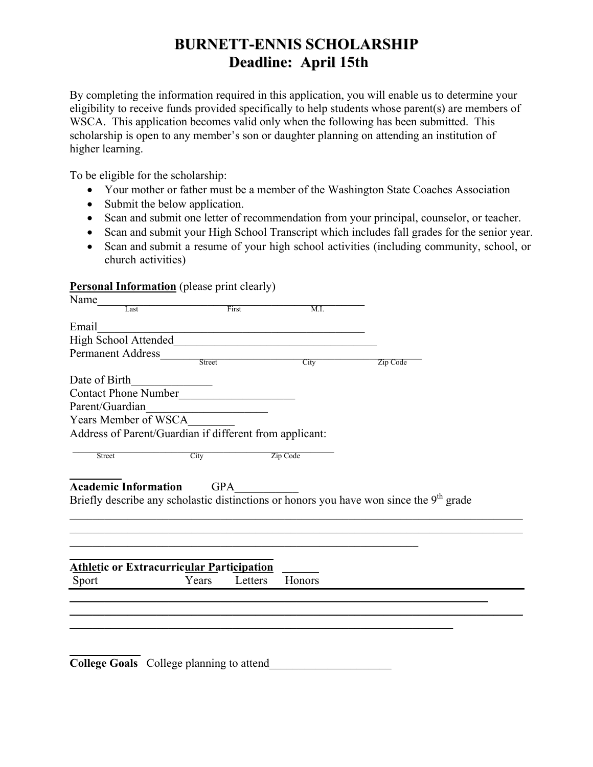## **BURNETT-ENNIS SCHOLARSHIP Deadline: April 15th**

By completing the information required in this application, you will enable us to determine your eligibility to receive funds provided specifically to help students whose parent(s) are members of WSCA. This application becomes valid only when the following has been submitted. This scholarship is open to any member's son or daughter planning on attending an institution of higher learning.

To be eligible for the scholarship:

- Your mother or father must be a member of the Washington State Coaches Association
- Submit the below application.
- Scan and submit one letter of recommendation from your principal, counselor, or teacher.
- Scan and submit your High School Transcript which includes fall grades for the senior year.
- Scan and submit a resume of your high school activities (including community, school, or church activities)

## **Personal Information** (please print clearly)

| Name                                                    |            |         |          |                                                                                           |  |
|---------------------------------------------------------|------------|---------|----------|-------------------------------------------------------------------------------------------|--|
| Last                                                    |            | First   | M.I.     |                                                                                           |  |
| Email                                                   |            |         |          |                                                                                           |  |
| High School Attended Management of the School Attended  |            |         |          |                                                                                           |  |
| <b>Permanent Address</b>                                |            |         |          |                                                                                           |  |
|                                                         | Street     |         | City     | Zip Code                                                                                  |  |
| Date of Birth                                           |            |         |          |                                                                                           |  |
| Contact Phone Number                                    |            |         |          |                                                                                           |  |
| Parent/Guardian                                         |            |         |          |                                                                                           |  |
| Years Member of WSCA                                    |            |         |          |                                                                                           |  |
| Address of Parent/Guardian if different from applicant: |            |         |          |                                                                                           |  |
|                                                         |            |         |          |                                                                                           |  |
| Street                                                  | City       |         | Zip Code |                                                                                           |  |
|                                                         |            |         |          |                                                                                           |  |
| <b>Academic Information</b>                             | <b>GPA</b> |         |          |                                                                                           |  |
|                                                         |            |         |          | Briefly describe any scholastic distinctions or honors you have won since the $9th$ grade |  |
|                                                         |            |         |          |                                                                                           |  |
|                                                         |            |         |          |                                                                                           |  |
|                                                         |            |         |          |                                                                                           |  |
|                                                         |            |         |          |                                                                                           |  |
| <b>Athletic or Extracurricular Participation</b>        |            |         |          |                                                                                           |  |
| Sport                                                   | Years      | Letters | Honors   |                                                                                           |  |
|                                                         |            |         |          |                                                                                           |  |
|                                                         |            |         |          |                                                                                           |  |
|                                                         |            |         |          |                                                                                           |  |
|                                                         |            |         |          |                                                                                           |  |
|                                                         |            |         |          |                                                                                           |  |
| College Goals College planning to attend                |            |         |          |                                                                                           |  |
|                                                         |            |         |          |                                                                                           |  |